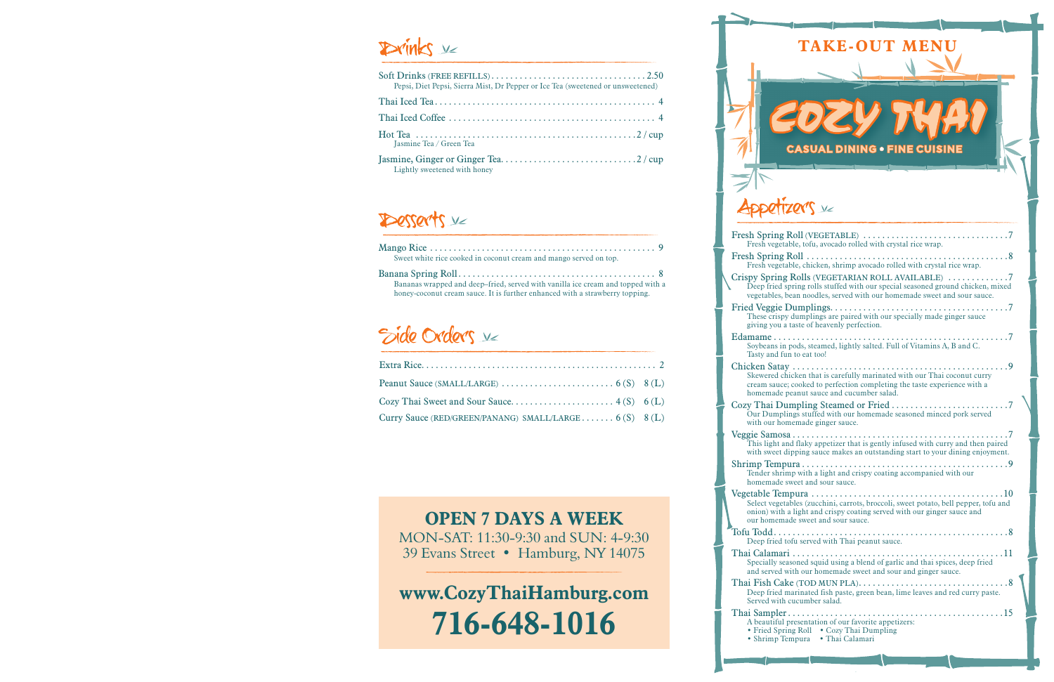## **TAKE-OUT MENU**



Appetizer's ve

# Drinks v

| Pepsi, Diet Pepsi, Sierra Mist, Dr Pepper or Ice Tea (sweetened or unsweetened) |  |
|---------------------------------------------------------------------------------|--|
|                                                                                 |  |
|                                                                                 |  |
| Iasmine Tea / Green Tea                                                         |  |
| Lightly sweetened with honey                                                    |  |

## Desserts v



Edamame . Soybeans Tasty and Chicken Sa<br>Skewered

cream sa homemad Cozy Thai Our Dun

with our Veggie Sam This light with sweet

Shrimp Ter Tender sh homema Vegetable <sup>7</sup>.

Thai Calam Specially and serve Thai Fish

Deep frie Served w Thai Sampl

| Fresh vegetable, tofu, avocado rolled with crystal rice wrap.                                                                                                                                                    |
|------------------------------------------------------------------------------------------------------------------------------------------------------------------------------------------------------------------|
| Fresh vegetable, chicken, shrimp avocado rolled with crystal rice wrap.                                                                                                                                          |
| Crispy Spring Rolls (VEGETARIAN ROLL AVAILABLE) 7<br>Deep fried spring rolls stuffed with our special seasoned ground chicken, mixed<br>vegetables, bean noodles, served with our homemade sweet and sour sauce. |
| These crispy dumplings are paired with our specially made ginger sauce<br>giving you a taste of heavenly perfection.                                                                                             |
| Soybeans in pods, steamed, lightly salted. Full of Vitamins A, B and C.<br>Tasty and fun to eat too!                                                                                                             |
| Skewered chicken that is carefully marinated with our Thai coconut curry<br>cream sauce; cooked to perfection completing the taste experience with a<br>homemade peanut sauce and cucumber salad.                |
| Our Dumplings stuffed with our homemade seasoned minced pork served<br>with our homemade ginger sauce.                                                                                                           |
| This light and flaky appetizer that is gently infused with curry and then paired<br>with sweet dipping sauce makes an outstanding start to your dining enjoyment.                                                |
| Tender shrimp with a light and crispy coating accompanied with our<br>homemade sweet and sour sauce.                                                                                                             |
| Select vegetables (zucchini, carrots, broccoli, sweet potato, bell pepper, tofu and<br>onion) with a light and crispy coating served with our ginger sauce and<br>our homemade sweet and sour sauce.             |
| Deep fried tofu served with Thai peanut sauce.                                                                                                                                                                   |
| Specially seasoned squid using a blend of garlic and thai spices, deep fried<br>and served with our homemade sweet and sour and ginger sauce.                                                                    |
| Thai Fish Cake (TOD MUN PLA). $\dots\dots\dots\dots\dots\dots\dots\dots\dots\dots\dots$<br>Deep fried marinated fish paste, green bean, lime leaves and red curry paste.<br>Served with cucumber salad.          |
| A beautiful presentation of our favorite appetizers:<br>• Fried Spring Roll • Cozy Thai Dumpling<br>• Shrimp Tempura • Thai Calamari                                                                             |
|                                                                                                                                                                                                                  |

### **OPEN 7 DAYS A WEEK** MON-SAT: 11:30-9:30 and SUN: 4-9:30 39 Evans Street • Hamburg, NY 14075

# **www.CozyThaiHamburg.com 716-648-1016**

| Curry Sauce (RED/GREEN/PANANG) SMALL/LARGE $6(S)$ $8(L)$ |  |
|----------------------------------------------------------|--|

| Sweet white rice cooked in coconut cream and mango served on top.                                                                                               |
|-----------------------------------------------------------------------------------------------------------------------------------------------------------------|
| Bananas wrapped and deep–fried, served with vanilla ice cream and topped with a<br>honey-coconut cream sauce. It is further enhanced with a strawberry topping. |

# Side Orders